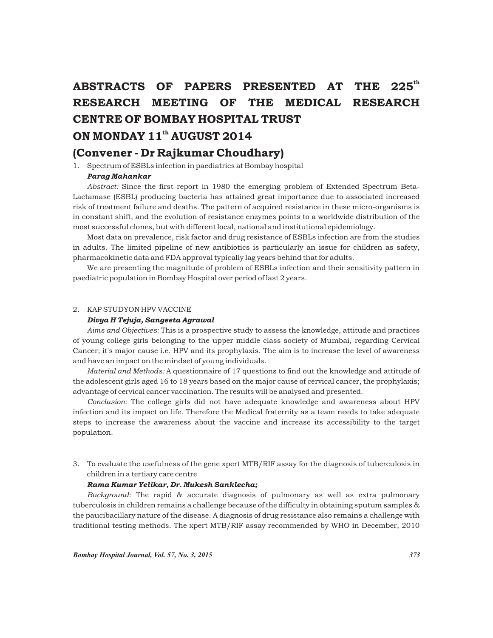## ABSTRACTS OF PAPERS PRESENTED AT THE 225<sup>th</sup> RESEARCH MEETING OF THE MEDICAL RESEARCH CENTRE OF BOMBAY HOSPITAL TRUST ON MONDAY 11<sup>th</sup> AUGUST 2014

### (Convener - Dr Rajkumar Choudhary)

1. Spectrum of ESBLs infection in paediatrics at Bombay hospital

#### *Parag Mahankar*

*Abstract:* Since the first report in 1980 the emerging problem of Extended Spectrum Beta-Lactamase (ESBL) producing bacteria has attained great importance due to associated increased risk of treatment failure and deaths. The pattern of acquired resistance in these micro-organisms is in constant shift, and the evolution of resistance enzymes points to a worldwide distribution of the most successful clones, but with different local, national and institutional epidemiology.

Most data on prevalence, risk factor and drug resistance of ESBLs infection are from the studies in adults. The limited pipeline of new antibiotics is particularly an issue for children as safety, pharmacokinetic data and FDA approval typically lag years behind that for adults.

We are presenting the magnitude of problem of ESBLs infection and their sensitivity pattern in paediatric population in Bombay Hospital over period of last 2 years.

#### 2. KAP STUDYON HPV VACCINE

#### *Divya H Tejuja, Sangeeta Agrawal*

*Aims and Objectives:* This is a prospective study to assess the knowledge, attitude and practices of young college girls belonging to the upper middle class society of Mumbai, regarding Cervical Cancer; it's major cause i.e. HPV and its prophylaxis. The aim is to increase the level of awareness and have an impact on the mindset of young individuals.

*Material and Methods:* A questionnaire of 17 questions to find out the knowledge and attitude of the adolescent girls aged 16 to 18 years based on the major cause of cervical cancer, the prophylaxis; advantage of cervical cancer vaccination. The results will be analysed and presented.

*Conclusion:* The college girls did not have adequate knowledge and awareness about HPV infection and its impact on life. Therefore the Medical fraternity as a team needs to take adequate steps to increase the awareness about the vaccine and increase its accessibility to the target population.

3. To evaluate the usefulness of the gene xpert MTB/RIF assay for the diagnosis of tuberculosis in children in a tertiary care centre

#### *Rama Kumar Yelikar, Dr. Mukesh Sanklecha;*

*Background:* The rapid & accurate diagnosis of pulmonary as well as extra pulmonary tuberculosis in children remains a challenge because of the difficulty in obtaining sputum samples & the paucibacillary nature of the disease. A diagnosis of drug resistance also remains a challenge with traditional testing methods. The xpert MTB/RIF assay recommended by WHO in December, 2010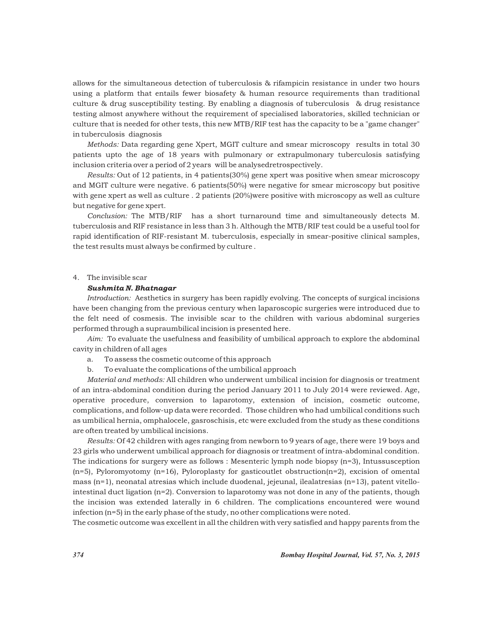allows for the simultaneous detection of tuberculosis & rifampicin resistance in under two hours using a platform that entails fewer biosafety & human resource requirements than traditional culture & drug susceptibility testing. By enabling a diagnosis of tuberculosis & drug resistance testing almost anywhere without the requirement of specialised laboratories, skilled technician or culture that is needed for other tests, this new MTB/RIF test has the capacity to be a "game changer" in tuberculosis diagnosis

*Methods:* Data regarding gene Xpert, MGIT culture and smear microscopy results in total 30 patients upto the age of 18 years with pulmonary or extrapulmonary tuberculosis satisfying inclusion criteria over a period of 2 years will be analysedretrospectively.

*Results:* Out of 12 patients, in 4 patients(30%) gene xpert was positive when smear microscopy and MGIT culture were negative. 6 patients(50%) were negative for smear microscopy but positive with gene xpert as well as culture . 2 patients (20%)were positive with microscopy as well as culture but negative for gene xpert.

*Conclusion:* The MTB/RIF has a short turnaround time and simultaneously detects M. tuberculosis and RIF resistance in less than 3 h. Although the MTB/RIF test could be a useful tool for rapid identification of RIF-resistant M. tuberculosis, especially in smear-positive clinical samples, the test results must always be confirmed by culture .

#### 4. The invisible scar

#### *Sushmita N. Bhatnagar*

*Introduction:* Aesthetics in surgery has been rapidly evolving. The concepts of surgical incisions have been changing from the previous century when laparoscopic surgeries were introduced due to the felt need of cosmesis. The invisible scar to the children with various abdominal surgeries performed through a supraumbilical incision is presented here.

*Aim:* To evaluate the usefulness and feasibility of umbilical approach to explore the abdominal cavity in children of all ages

- a. To assess the cosmetic outcome of this approach
- b. To evaluate the complications of the umbilical approach

*Material and methods:* All children who underwent umbilical incision for diagnosis or treatment of an intra-abdominal condition during the period January 2011 to July 2014 were reviewed. Age, operative procedure, conversion to laparotomy, extension of incision, cosmetic outcome, complications, and follow-up data were recorded. Those children who had umbilical conditions such as umbilical hernia, omphalocele, gasroschisis, etc were excluded from the study as these conditions are often treated by umbilical incisions.

*Results:* Of 42 children with ages ranging from newborn to 9 years of age, there were 19 boys and 23 girls who underwent umbilical approach for diagnosis or treatment of intra-abdominal condition. The indications for surgery were as follows : Mesenteric lymph node biopsy (n=3), Intussusception  $(n=5)$ , Pyloromyotomy  $(n=16)$ , Pyloroplasty for gasticoutlet obstruction $(n=2)$ , excision of omental mass  $(n=1)$ , neonatal atresias which include duodenal, jejeunal, ilealatresias  $(n=13)$ , patent vitellointestinal duct ligation  $(n=2)$ . Conversion to laparotomy was not done in any of the patients, though the incision was extended laterally in 6 children. The complications encountered were wound infection (n=5) in the early phase of the study, no other complications were noted.

The cosmetic outcome was excellent in all the children with very satisfied and happy parents from the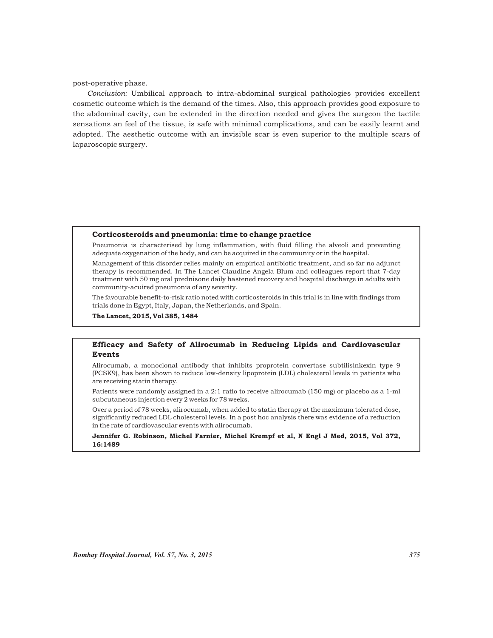post-operative phase.

*Conclusion:* Umbilical approach to intra-abdominal surgical pathologies provides excellent cosmetic outcome which is the demand of the times. Also, this approach provides good exposure to the abdominal cavity, can be extended in the direction needed and gives the surgeon the tactile sensations an feel of the tissue, is safe with minimal complications, and can be easily learnt and adopted. The aesthetic outcome with an invisible scar is even superior to the multiple scars of laparoscopic surgery.

#### Corticosteroids and pneumonia: time to change practice

Pneumonia is characterised by lung inflammation, with fluid filling the alveoli and preventing adequate oxygenation of the body, and can be acquired in the community or in the hospital.

Management of this disorder relies mainly on empirical antibiotic treatment, and so far no adjunct therapy is recommended. In The Lancet Claudine Angela Blum and colleagues report that 7-day treatment with 50 mg oral prednisone daily hastened recovery and hospital discharge in adults with community-acuired pneumonia of any severity.

The favourable benefit-to-risk ratio noted with corticosteroids in this trial is in line with findings from trials done in Egypt, Italy, Japan, the Netherlands, and Spain.

The Lancet, 2015, Vol 385, 1484

#### Efficacy and Safety of Alirocumab in Reducing Lipids and Cardiovascular Events

Alirocumab, a monoclonal antibody that inhibits proprotein convertase subtilisinkexin type 9 (PCSK9), has been shown to reduce low-density lipoprotein (LDL) cholesterol levels in patients who are receiving statin therapy.

Patients were randomly assigned in a 2:1 ratio to receive alirocumab (150 mg) or placebo as a 1-ml subcutaneous injection every 2 weeks for 78 weeks.

Over a period of 78 weeks, alirocumab, when added to statin therapy at the maximum tolerated dose, significantly reduced LDL cholesterol levels. In a post hoc analysis there was evidence of a reduction in the rate of cardiovascular events with alirocumab.

Jennifer G. Robinson, Michel Farnier, Michel Krempf et al, N Engl J Med, 2015, Vol 372, 16:1489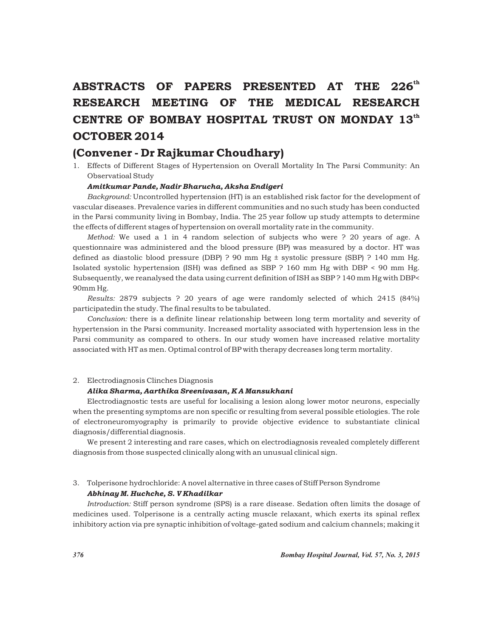# ABSTRACTS OF PAPERS PRESENTED AT THE 226<sup>th</sup> RESEARCH MEETING OF THE MEDICAL RESEARCH CENTRE OF BOMBAY HOSPITAL TRUST ON MONDAY 13th OCTOBER 2014

### (Convener - Dr Rajkumar Choudhary)

1. Effects of Different Stages of Hypertension on Overall Mortality In The Parsi Community: An Observatioal Study

#### *Amitkumar Pande, Nadir Bharucha, Aksha Endigeri*

*Background:* Uncontrolled hypertension (HT) is an established risk factor for the development of vascular diseases. Prevalence varies in different communities and no such study has been conducted in the Parsi community living in Bombay, India. The 25 year follow up study attempts to determine the effects of different stages of hypertension on overall mortality rate in the community.

*Method:* We used a 1 in 4 random selection of subjects who were ? 20 years of age. A questionnaire was administered and the blood pressure (BP) was measured by a doctor. HT was defined as diastolic blood pressure (DBP) ? 90 mm Hg  $\pm$  systolic pressure (SBP) ? 140 mm Hg. Isolated systolic hypertension (ISH) was defined as SBP ? 160 mm Hg with DBP < 90 mm Hg. Subsequently, we reanalysed the data using current definition of ISH as SBP ? 140 mm Hg with DBP< 90mm Hg.

*Results:* 2879 subjects ? 20 years of age were randomly selected of which 2415 (84%) participatedin the study. The final results to be tabulated.

*Conclusion:* there is a definite linear relationship between long term mortality and severity of hypertension in the Parsi community. Increased mortality associated with hypertension less in the Parsi community as compared to others. In our study women have increased relative mortality associated with HT as men. Optimal control of BP with therapy decreases long term mortality.

#### 2. Electrodiagnosis Clinches Diagnosis

#### *Alika Sharma, Aarthika Sreenivasan, K A Mansukhani*

Electrodiagnostic tests are useful for localising a lesion along lower motor neurons, especially when the presenting symptoms are non specific or resulting from several possible etiologies. The role of electroneuromyography is primarily to provide objective evidence to substantiate clinical diagnosis/differential diagnosis.

We present 2 interesting and rare cases, which on electrodiagnosis revealed completely different diagnosis from those suspected clinically along with an unusual clinical sign.

#### 3. Tolperisone hydrochloride: A novel alternative in three cases of Stiff Person Syndrome *Abhinay M. Huchche, S. V Khadilkar*

*Introduction:* Stiff person syndrome (SPS) is a rare disease. Sedation often limits the dosage of medicines used. Tolperisone is a centrally acting muscle relaxant, which exerts its spinal reflex inhibitory action via pre synaptic inhibition of voltage-gated sodium and calcium channels; making it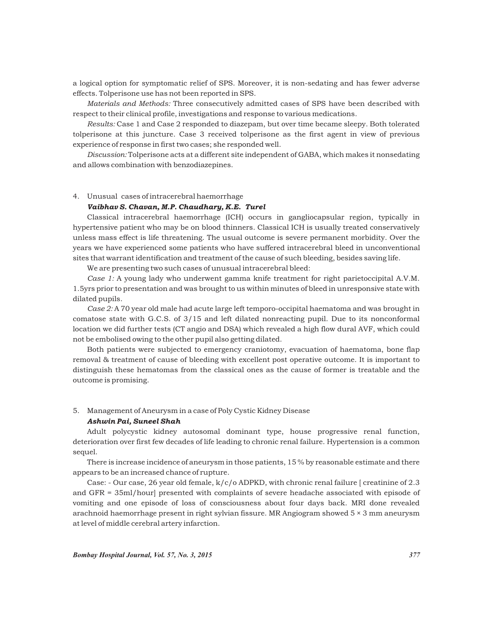a logical option for symptomatic relief of SPS. Moreover, it is non-sedating and has fewer adverse effects. Tolperisone use has not been reported in SPS.

*Materials and Methods:* Three consecutively admitted cases of SPS have been described with respect to their clinical profile, investigations and response to various medications.

*Results:* Case 1 and Case 2 responded to diazepam, but over time became sleepy. Both tolerated tolperisone at this juncture. Case 3 received tolperisone as the first agent in view of previous experience of response in first two cases; she responded well.

*Discussion:* Tolperisone acts at a different site independent of GABA, which makes it nonsedating and allows combination with benzodiazepines.

#### 4. Unusual cases of intracerebral haemorrhage

#### *Vaibhav S. Chavan, M.P. Chaudhary, K.E. Turel*

Classical intracerebral haemorrhage (ICH) occurs in gangliocapsular region, typically in hypertensive patient who may be on blood thinners. Classical ICH is usually treated conservatively unless mass effect is life threatening. The usual outcome is severe permanent morbidity. Over the years we have experienced some patients who have suffered intracerebral bleed in unconventional sites that warrant identification and treatment of the cause of such bleeding, besides saving life.

We are presenting two such cases of unusual intracerebral bleed:

*Case 1:* A young lady who underwent gamma knife treatment for right parietoccipital A.V.M. 1.5yrs prior to presentation and was brought to us within minutes of bleed in unresponsive state with dilated pupils.

*Case 2:* A 70 year old male had acute large left temporo-occipital haematoma and was brought in comatose state with G.C.S. of 3/15 and left dilated nonreacting pupil. Due to its nonconformal location we did further tests (CT angio and DSA) which revealed a high flow dural AVF, which could not be embolised owing to the other pupil also getting dilated.

Both patients were subjected to emergency craniotomy, evacuation of haematoma, bone flap removal & treatment of cause of bleeding with excellent post operative outcome. It is important to distinguish these hematomas from the classical ones as the cause of former is treatable and the outcome is promising.

#### 5. Management of Aneurysm in a case of Poly Cystic Kidney Disease

#### *Ashwin Pai, Suneel Shah*

Adult polycystic kidney autosomal dominant type, house progressive renal function, deterioration over first few decades of life leading to chronic renal failure. Hypertension is a common sequel.

There is increase incidence of aneurysm in those patients, 15 % by reasonable estimate and there appears to be an increased chance of rupture.

Case: - Our case, 26 year old female, k/c/o ADPKD, with chronic renal failure [ creatinine of 2.3 and GFR = 35ml/hour] presented with complaints of severe headache associated with episode of vomiting and one episode of loss of consciousness about four days back. MRI done revealed arachnoid haemorrhage present in right sylvian fissure. MR Angiogram showed 5 × 3 mm aneurysm at level of middle cerebral artery infarction.